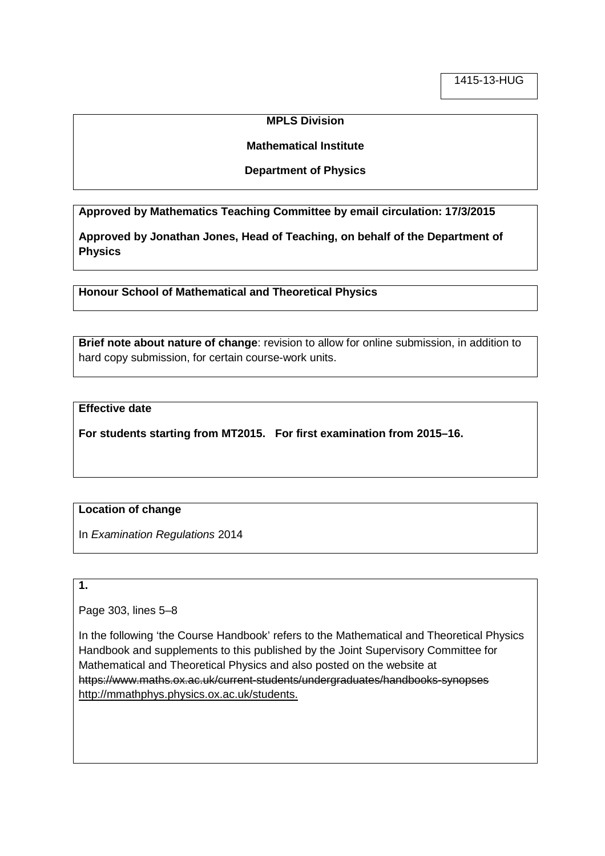### **MPLS Division**

#### **Mathematical Institute**

#### **Department of Physics**

**Approved by Mathematics Teaching Committee by email circulation: 17/3/2015**

**Approved by Jonathan Jones, Head of Teaching, on behalf of the Department of Physics**

**Honour School of Mathematical and Theoretical Physics**

**Brief note about nature of change**: revision to allow for online submission, in addition to hard copy submission, for certain course-work units.

### **Effective date**

**For students starting from MT2015. For first examination from 2015–16.**

## **Location of change**

In *Examination Regulations* 2014

## **1.**

Page 303, lines 5–8

In the following 'the Course Handbook' refers to the Mathematical and Theoretical Physics Handbook and supplements to this published by the Joint Supervisory Committee for Mathematical and Theoretical Physics and also posted on the website at https://www.maths.ox.ac.uk/current-students/undergraduates/handbooks-synopses http://mmathphys.physics.ox.ac.uk/students.